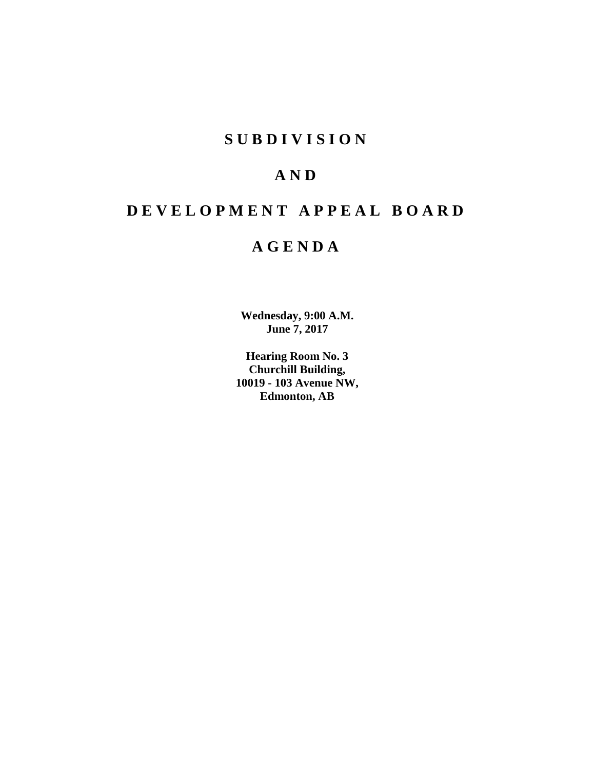# **S U B D I V I S I O N**

# **A N D**

# **D E V E L O P M E N T A P P E A L B O A R D**

# **A G E N D A**

**Wednesday, 9:00 A.M. June 7, 2017**

**Hearing Room No. 3 Churchill Building, 10019 - 103 Avenue NW, Edmonton, AB**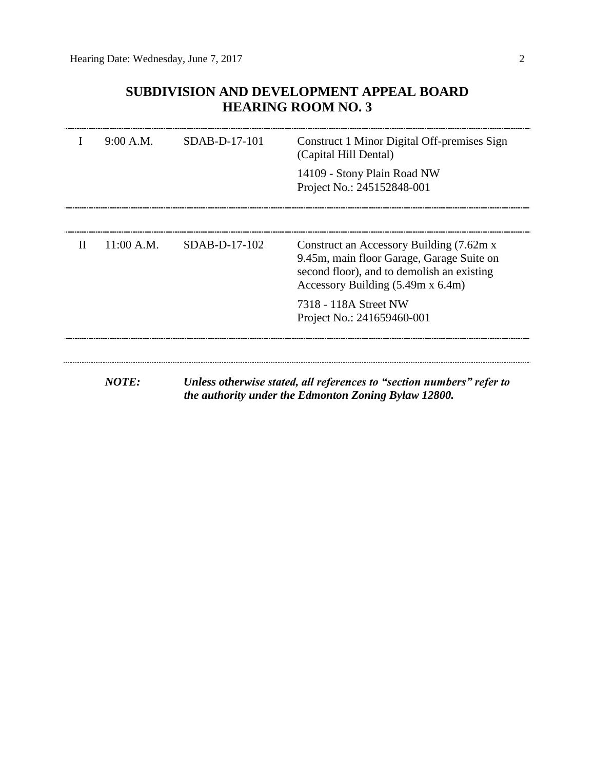# **SUBDIVISION AND DEVELOPMENT APPEAL BOARD HEARING ROOM NO. 3**

|              | 9:00 A.M.    | SDAB-D-17-101   | Construct 1 Minor Digital Off-premises Sign<br>(Capital Hill Dental)                                                                                                             |
|--------------|--------------|-----------------|----------------------------------------------------------------------------------------------------------------------------------------------------------------------------------|
|              |              |                 | 14109 - Stony Plain Road NW<br>Project No.: 245152848-001                                                                                                                        |
|              |              |                 |                                                                                                                                                                                  |
| $\mathbf{H}$ | 11:00 A.M.   | $SDAB-D-17-102$ | Construct an Accessory Building (7.62m x)<br>9.45m, main floor Garage, Garage Suite on<br>second floor), and to demolish an existing<br>Accessory Building $(5.49m \times 6.4m)$ |
|              |              |                 | 7318 - 118A Street NW<br>Project No.: 241659460-001                                                                                                                              |
|              |              |                 |                                                                                                                                                                                  |
|              | <b>NOTE:</b> |                 | Unless otherwise stated, all references to "section numbers" refer to<br>the authority under the Edmonton Zoning Bylaw 12800.                                                    |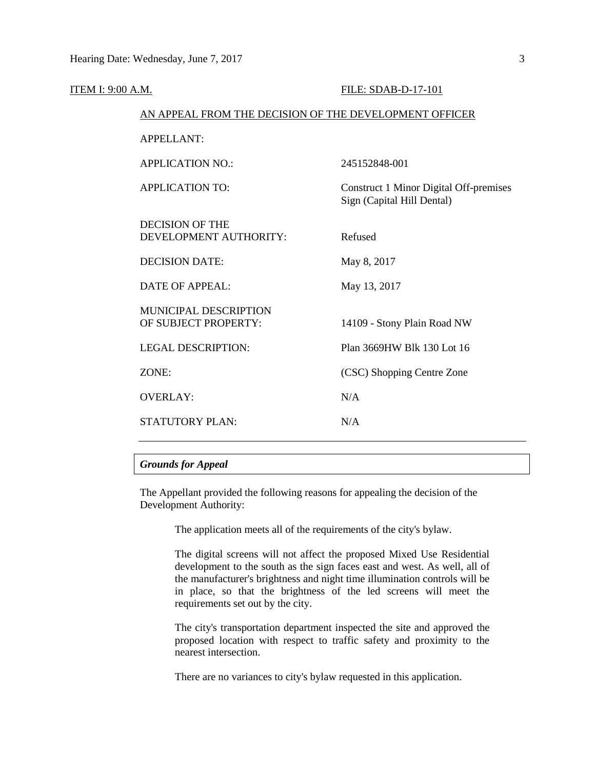| <b>ITEM I: 9:00 A.M.</b> |                                                        | FILE: SDAB-D-17-101                                                         |
|--------------------------|--------------------------------------------------------|-----------------------------------------------------------------------------|
|                          | AN APPEAL FROM THE DECISION OF THE DEVELOPMENT OFFICER |                                                                             |
|                          | <b>APPELLANT:</b>                                      |                                                                             |
|                          | <b>APPLICATION NO.:</b>                                | 245152848-001                                                               |
|                          | <b>APPLICATION TO:</b>                                 | <b>Construct 1 Minor Digital Off-premises</b><br>Sign (Capital Hill Dental) |
|                          | <b>DECISION OF THE</b><br>DEVELOPMENT AUTHORITY:       | Refused                                                                     |
|                          | <b>DECISION DATE:</b>                                  | May 8, 2017                                                                 |
|                          | <b>DATE OF APPEAL:</b>                                 | May 13, 2017                                                                |
|                          | MUNICIPAL DESCRIPTION<br>OF SUBJECT PROPERTY:          | 14109 - Stony Plain Road NW                                                 |
|                          | <b>LEGAL DESCRIPTION:</b>                              | Plan 3669HW Blk 130 Lot 16                                                  |
|                          | ZONE:                                                  | (CSC) Shopping Centre Zone                                                  |
|                          | <b>OVERLAY:</b>                                        | N/A                                                                         |
|                          | <b>STATUTORY PLAN:</b>                                 | N/A                                                                         |
|                          |                                                        |                                                                             |

# *Grounds for Appeal*

The Appellant provided the following reasons for appealing the decision of the Development Authority:

The application meets all of the requirements of the city's bylaw.

The digital screens will not affect the proposed Mixed Use Residential development to the south as the sign faces east and west. As well, all of the manufacturer's brightness and night time illumination controls will be in place, so that the brightness of the led screens will meet the requirements set out by the city.

The city's transportation department inspected the site and approved the proposed location with respect to traffic safety and proximity to the nearest intersection.

There are no variances to city's bylaw requested in this application.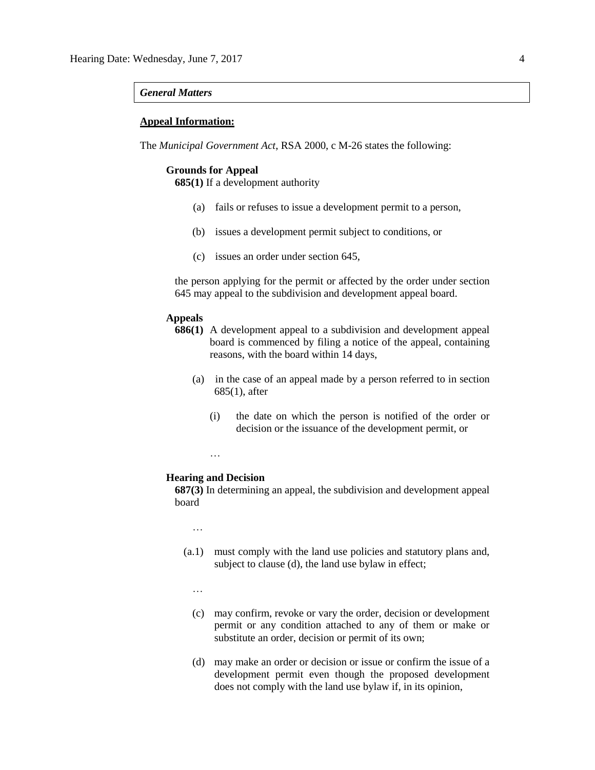### *General Matters*

## **Appeal Information:**

The *Municipal Government Act*, RSA 2000, c M-26 states the following:

# **Grounds for Appeal**

**685(1)** If a development authority

- (a) fails or refuses to issue a development permit to a person,
- (b) issues a development permit subject to conditions, or
- (c) issues an order under section 645,

the person applying for the permit or affected by the order under section 645 may appeal to the subdivision and development appeal board.

# **Appeals**

- **686(1)** A development appeal to a subdivision and development appeal board is commenced by filing a notice of the appeal, containing reasons, with the board within 14 days,
	- (a) in the case of an appeal made by a person referred to in section 685(1), after
		- (i) the date on which the person is notified of the order or decision or the issuance of the development permit, or

…

#### **Hearing and Decision**

**687(3)** In determining an appeal, the subdivision and development appeal board

…

- (a.1) must comply with the land use policies and statutory plans and, subject to clause (d), the land use bylaw in effect;
	- …
	- (c) may confirm, revoke or vary the order, decision or development permit or any condition attached to any of them or make or substitute an order, decision or permit of its own;
	- (d) may make an order or decision or issue or confirm the issue of a development permit even though the proposed development does not comply with the land use bylaw if, in its opinion,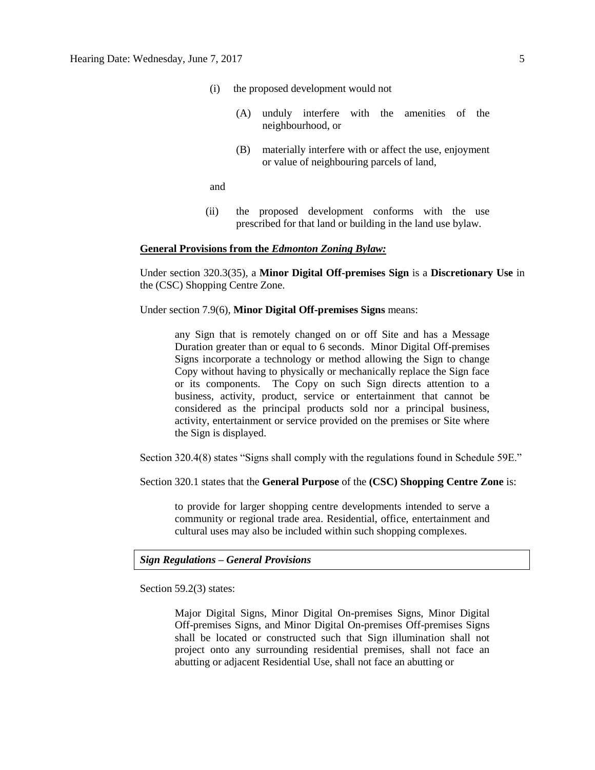- (i) the proposed development would not
	- (A) unduly interfere with the amenities of the neighbourhood, or
	- (B) materially interfere with or affect the use, enjoyment or value of neighbouring parcels of land,

and

(ii) the proposed development conforms with the use prescribed for that land or building in the land use bylaw.

### **General Provisions from the** *Edmonton Zoning Bylaw:*

Under section 320.3(35), a **Minor Digital Off-premises Sign** is a **Discretionary Use** in the (CSC) Shopping Centre Zone.

Under section 7.9(6), **Minor Digital Off-premises Signs** means:

any Sign that is remotely changed on or off Site and has a Message Duration greater than or equal to 6 seconds. Minor Digital Off-premises Signs incorporate a technology or method allowing the Sign to change Copy without having to physically or mechanically replace the Sign face or its components. The Copy on such Sign directs attention to a business, activity, product, service or entertainment that cannot be considered as the principal products sold nor a principal business, activity, entertainment or service provided on the premises or Site where the Sign is displayed.

Section 320.4(8) states "Signs shall comply with the regulations found in Schedule 59E."

Section 320.1 states that the **General Purpose** of the **(CSC) Shopping Centre Zone** is:

to provide for larger shopping centre developments intended to serve a community or regional trade area. Residential, office, entertainment and cultural uses may also be included within such shopping complexes.

# *Sign Regulations – General Provisions*

Section 59.2(3) states:

Major Digital Signs, Minor Digital On-premises Signs, Minor Digital Off-premises Signs, and Minor Digital On-premises Off-premises Signs shall be located or constructed such that Sign illumination shall not project onto any surrounding residential premises, shall not face an abutting or adjacent Residential Use, shall not face an abutting or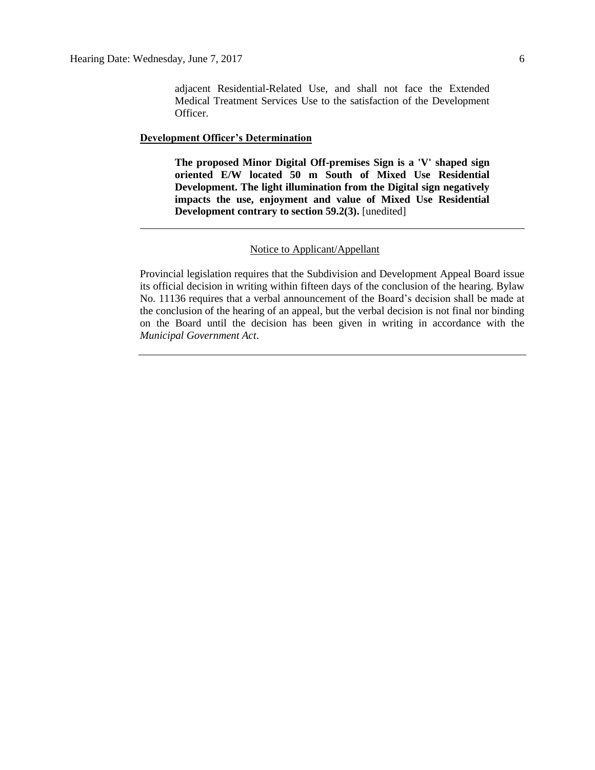#### **Development Officer's Determination**

Officer.

**The proposed Minor Digital Off-premises Sign is a 'V' shaped sign oriented E/W located 50 m South of Mixed Use Residential Development. The light illumination from the Digital sign negatively impacts the use, enjoyment and value of Mixed Use Residential Development contrary to section 59.2(3).** [unedited]

### Notice to Applicant/Appellant

Provincial legislation requires that the Subdivision and Development Appeal Board issue its official decision in writing within fifteen days of the conclusion of the hearing. Bylaw No. 11136 requires that a verbal announcement of the Board's decision shall be made at the conclusion of the hearing of an appeal, but the verbal decision is not final nor binding on the Board until the decision has been given in writing in accordance with the *Municipal Government Act*.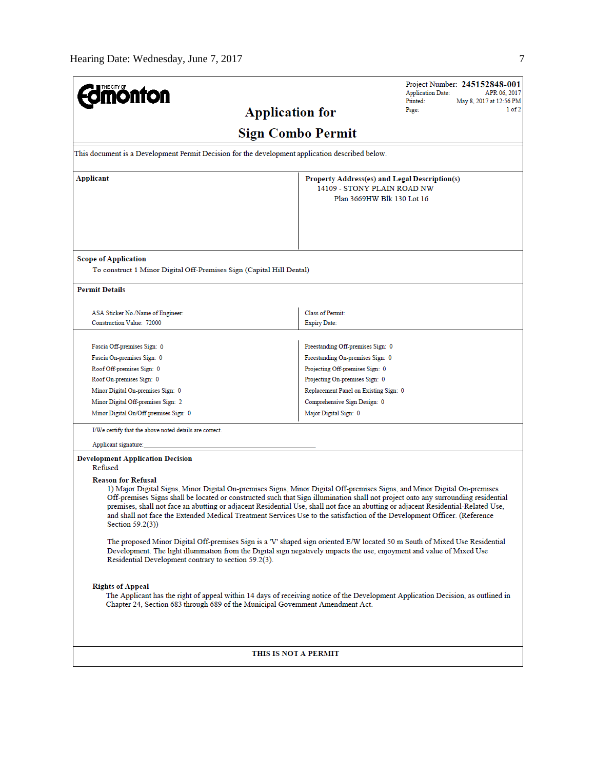| <b>mönton</b>                                                                                                                                                                                                                                                                                                                                                                                                                                                                                                                                                                       |                                                                                                            | <b>Application Date:</b> | Project Number: 245152848-001<br>APR 06, 2017 |  |  |
|-------------------------------------------------------------------------------------------------------------------------------------------------------------------------------------------------------------------------------------------------------------------------------------------------------------------------------------------------------------------------------------------------------------------------------------------------------------------------------------------------------------------------------------------------------------------------------------|------------------------------------------------------------------------------------------------------------|--------------------------|-----------------------------------------------|--|--|
| <b>Application for</b>                                                                                                                                                                                                                                                                                                                                                                                                                                                                                                                                                              |                                                                                                            | Printed:<br>Page:        | May 8, 2017 at 12:56 PM<br>1 of 2             |  |  |
|                                                                                                                                                                                                                                                                                                                                                                                                                                                                                                                                                                                     |                                                                                                            |                          |                                               |  |  |
|                                                                                                                                                                                                                                                                                                                                                                                                                                                                                                                                                                                     | <b>Sign Combo Permit</b>                                                                                   |                          |                                               |  |  |
| This document is a Development Permit Decision for the development application described below.                                                                                                                                                                                                                                                                                                                                                                                                                                                                                     |                                                                                                            |                          |                                               |  |  |
| <b>Applicant</b>                                                                                                                                                                                                                                                                                                                                                                                                                                                                                                                                                                    | Property Address(es) and Legal Description(s)<br>14109 - STONY PLAIN ROAD NW<br>Plan 3669HW Blk 130 Lot 16 |                          |                                               |  |  |
| <b>Scope of Application</b><br>To construct 1 Minor Digital Off-Premises Sign (Capital Hill Dental)                                                                                                                                                                                                                                                                                                                                                                                                                                                                                 |                                                                                                            |                          |                                               |  |  |
| <b>Permit Details</b>                                                                                                                                                                                                                                                                                                                                                                                                                                                                                                                                                               |                                                                                                            |                          |                                               |  |  |
| ASA Sticker No./Name of Engineer:<br>Construction Value: 72000                                                                                                                                                                                                                                                                                                                                                                                                                                                                                                                      | Class of Permit:<br><b>Expiry Date:</b>                                                                    |                          |                                               |  |  |
| Fascia Off-premises Sign: 0                                                                                                                                                                                                                                                                                                                                                                                                                                                                                                                                                         | Freestanding Off-premises Sign: 0                                                                          |                          |                                               |  |  |
| Fascia On-premises Sign: 0                                                                                                                                                                                                                                                                                                                                                                                                                                                                                                                                                          | Freestanding On-premises Sign: 0                                                                           |                          |                                               |  |  |
| Roof Off-premises Sign: 0                                                                                                                                                                                                                                                                                                                                                                                                                                                                                                                                                           | Projecting Off-premises Sign: 0                                                                            |                          |                                               |  |  |
| Roof On-premises Sign: 0                                                                                                                                                                                                                                                                                                                                                                                                                                                                                                                                                            | Projecting On-premises Sign: 0                                                                             |                          |                                               |  |  |
| Minor Digital On-premises Sign: 0                                                                                                                                                                                                                                                                                                                                                                                                                                                                                                                                                   | Replacement Panel on Existing Sign: 0                                                                      |                          |                                               |  |  |
| Minor Digital Off-premises Sign: 2                                                                                                                                                                                                                                                                                                                                                                                                                                                                                                                                                  | Comprehensive Sign Design: 0                                                                               |                          |                                               |  |  |
| Minor Digital On/Off-premises Sign: 0                                                                                                                                                                                                                                                                                                                                                                                                                                                                                                                                               | Major Digital Sign: 0                                                                                      |                          |                                               |  |  |
| I/We certify that the above noted details are correct.                                                                                                                                                                                                                                                                                                                                                                                                                                                                                                                              |                                                                                                            |                          |                                               |  |  |
| Applicant signature:                                                                                                                                                                                                                                                                                                                                                                                                                                                                                                                                                                |                                                                                                            |                          |                                               |  |  |
| <b>Development Application Decision</b><br>Refused                                                                                                                                                                                                                                                                                                                                                                                                                                                                                                                                  |                                                                                                            |                          |                                               |  |  |
| <b>Reason for Refusal</b><br>1) Major Digital Signs, Minor Digital On-premises Signs, Minor Digital Off-premises Signs, and Minor Digital On-premises<br>Off-premises Signs shall be located or constructed such that Sign illumination shall not project onto any surrounding residential<br>premises, shall not face an abutting or adjacent Residential Use, shall not face an abutting or adjacent Residential-Related Use,<br>and shall not face the Extended Medical Treatment Services Use to the satisfaction of the Development Officer. (Reference<br>Section $59.2(3)$ ) |                                                                                                            |                          |                                               |  |  |
| The proposed Minor Digital Off-premises Sign is a 'V' shaped sign oriented E/W located 50 m South of Mixed Use Residential<br>Development. The light illumination from the Digital sign negatively impacts the use, enjoyment and value of Mixed Use<br>Residential Development contrary to section 59.2(3).                                                                                                                                                                                                                                                                        |                                                                                                            |                          |                                               |  |  |
| <b>Rights of Appeal</b><br>The Applicant has the right of appeal within 14 days of receiving notice of the Development Application Decision, as outlined in<br>Chapter 24, Section 683 through 689 of the Municipal Government Amendment Act.                                                                                                                                                                                                                                                                                                                                       |                                                                                                            |                          |                                               |  |  |
|                                                                                                                                                                                                                                                                                                                                                                                                                                                                                                                                                                                     |                                                                                                            |                          |                                               |  |  |
| THIS IS NOT A PERMIT                                                                                                                                                                                                                                                                                                                                                                                                                                                                                                                                                                |                                                                                                            |                          |                                               |  |  |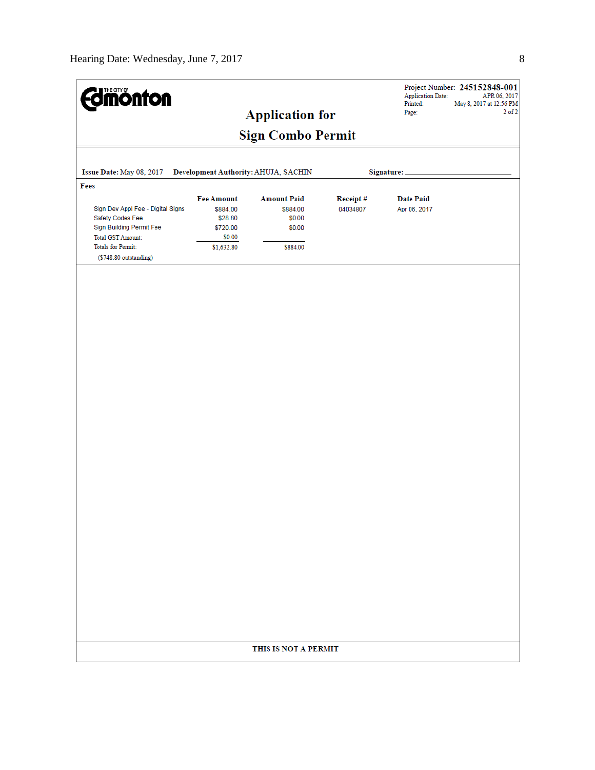| <b>Smönton</b>                                                                                                                             |                                                                              | <b>Application for</b>                                         |                      | <b>Application Date:</b><br>Printed:<br>Page: | Project Number: 245152848-001<br>APR 06, 2017<br>May 8, 2017 at 12:56 PM<br>$2$ of $2$ |
|--------------------------------------------------------------------------------------------------------------------------------------------|------------------------------------------------------------------------------|----------------------------------------------------------------|----------------------|-----------------------------------------------|----------------------------------------------------------------------------------------|
|                                                                                                                                            |                                                                              | <b>Sign Combo Permit</b>                                       |                      |                                               |                                                                                        |
| Issue Date: May 08, 2017                                                                                                                   |                                                                              | Development Authority: AHUJA, SACHIN                           |                      | Signature:                                    |                                                                                        |
| Fees                                                                                                                                       |                                                                              |                                                                |                      |                                               |                                                                                        |
| Sign Dev Appl Fee - Digital Signs<br>Safety Codes Fee<br>Sign Building Permit Fee<br><b>Total GST Amount:</b><br><b>Totals for Permit:</b> | <b>Fee Amount</b><br>\$884.00<br>\$28.80<br>\$720.00<br>\$0.00<br>\$1,632.80 | <b>Amount Paid</b><br>\$884.00<br>\$0.00<br>\$0.00<br>\$884.00 | Receipt#<br>04034807 | <b>Date Paid</b><br>Apr 06, 2017              |                                                                                        |
| (\$748.80 outstanding)                                                                                                                     |                                                                              |                                                                |                      |                                               |                                                                                        |
|                                                                                                                                            |                                                                              |                                                                |                      |                                               |                                                                                        |
|                                                                                                                                            |                                                                              |                                                                |                      |                                               |                                                                                        |
|                                                                                                                                            |                                                                              |                                                                |                      |                                               |                                                                                        |
|                                                                                                                                            |                                                                              |                                                                |                      |                                               |                                                                                        |
|                                                                                                                                            |                                                                              |                                                                |                      |                                               |                                                                                        |
|                                                                                                                                            |                                                                              |                                                                |                      |                                               |                                                                                        |
|                                                                                                                                            |                                                                              |                                                                |                      |                                               |                                                                                        |
|                                                                                                                                            |                                                                              |                                                                |                      |                                               |                                                                                        |
|                                                                                                                                            |                                                                              |                                                                |                      |                                               |                                                                                        |
|                                                                                                                                            |                                                                              |                                                                |                      |                                               |                                                                                        |
|                                                                                                                                            |                                                                              |                                                                |                      |                                               |                                                                                        |
|                                                                                                                                            |                                                                              |                                                                |                      |                                               |                                                                                        |
|                                                                                                                                            |                                                                              |                                                                |                      |                                               |                                                                                        |
|                                                                                                                                            |                                                                              |                                                                |                      |                                               |                                                                                        |
|                                                                                                                                            |                                                                              |                                                                |                      |                                               |                                                                                        |
|                                                                                                                                            |                                                                              |                                                                |                      |                                               |                                                                                        |
|                                                                                                                                            |                                                                              |                                                                |                      |                                               |                                                                                        |
|                                                                                                                                            |                                                                              |                                                                |                      |                                               |                                                                                        |
|                                                                                                                                            |                                                                              |                                                                |                      |                                               |                                                                                        |
|                                                                                                                                            |                                                                              |                                                                |                      |                                               |                                                                                        |
|                                                                                                                                            |                                                                              |                                                                |                      |                                               |                                                                                        |
|                                                                                                                                            |                                                                              |                                                                |                      |                                               |                                                                                        |
|                                                                                                                                            |                                                                              | THIS IS NOT A PERMIT                                           |                      |                                               |                                                                                        |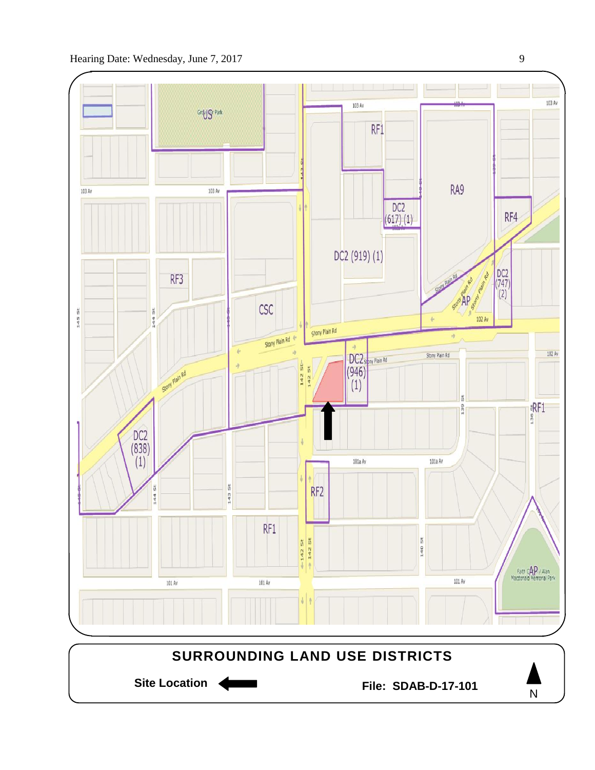



N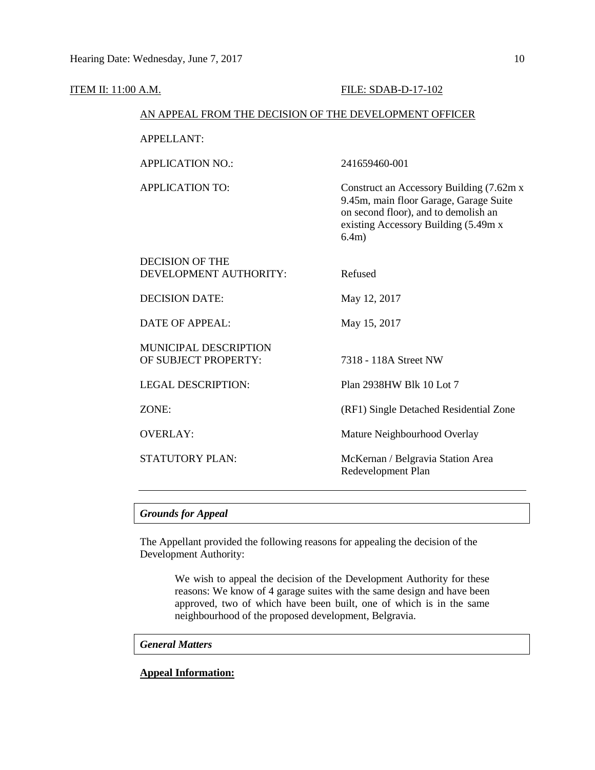| <b>ITEM II: 11:00 A.M.</b> |                                                        | FILE: SDAB-D-17-102                                                                                                                                                          |  |  |  |  |
|----------------------------|--------------------------------------------------------|------------------------------------------------------------------------------------------------------------------------------------------------------------------------------|--|--|--|--|
|                            | AN APPEAL FROM THE DECISION OF THE DEVELOPMENT OFFICER |                                                                                                                                                                              |  |  |  |  |
|                            | <b>APPELLANT:</b>                                      |                                                                                                                                                                              |  |  |  |  |
|                            | <b>APPLICATION NO.:</b>                                | 241659460-001                                                                                                                                                                |  |  |  |  |
|                            | <b>APPLICATION TO:</b>                                 | Construct an Accessory Building (7.62m x)<br>9.45m, main floor Garage, Garage Suite<br>on second floor), and to demolish an<br>existing Accessory Building (5.49m x<br>6.4m) |  |  |  |  |
|                            | <b>DECISION OF THE</b><br>DEVELOPMENT AUTHORITY:       | Refused                                                                                                                                                                      |  |  |  |  |
|                            | <b>DECISION DATE:</b>                                  | May 12, 2017                                                                                                                                                                 |  |  |  |  |
|                            | <b>DATE OF APPEAL:</b>                                 | May 15, 2017                                                                                                                                                                 |  |  |  |  |
|                            | <b>MUNICIPAL DESCRIPTION</b><br>OF SUBJECT PROPERTY:   | 7318 - 118A Street NW                                                                                                                                                        |  |  |  |  |
|                            | <b>LEGAL DESCRIPTION:</b>                              | Plan 2938HW Blk 10 Lot 7                                                                                                                                                     |  |  |  |  |
|                            | ZONE:                                                  | (RF1) Single Detached Residential Zone                                                                                                                                       |  |  |  |  |
|                            | <b>OVERLAY:</b>                                        | Mature Neighbourhood Overlay                                                                                                                                                 |  |  |  |  |
|                            | <b>STATUTORY PLAN:</b>                                 | McKernan / Belgravia Station Area<br>Redevelopment Plan                                                                                                                      |  |  |  |  |

# *Grounds for Appeal*

The Appellant provided the following reasons for appealing the decision of the Development Authority:

> We wish to appeal the decision of the Development Authority for these reasons: We know of 4 garage suites with the same design and have been approved, two of which have been built, one of which is in the same neighbourhood of the proposed development, Belgravia.

# *General Matters*

# **Appeal Information:**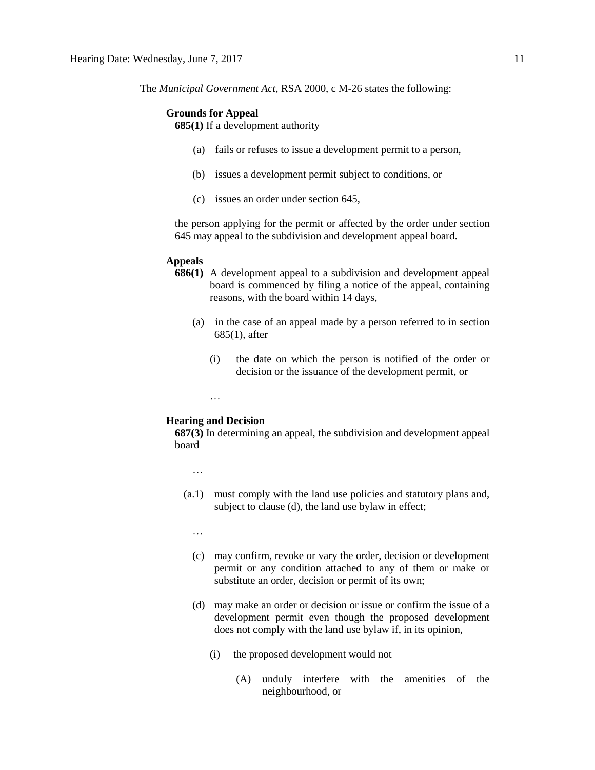The *Municipal Government Act*, RSA 2000, c M-26 states the following:

#### **Grounds for Appeal**

**685(1)** If a development authority

- (a) fails or refuses to issue a development permit to a person,
- (b) issues a development permit subject to conditions, or
- (c) issues an order under section 645,

the person applying for the permit or affected by the order under section 645 may appeal to the subdivision and development appeal board.

## **Appeals**

- **686(1)** A development appeal to a subdivision and development appeal board is commenced by filing a notice of the appeal, containing reasons, with the board within 14 days,
	- (a) in the case of an appeal made by a person referred to in section 685(1), after
		- (i) the date on which the person is notified of the order or decision or the issuance of the development permit, or

…

### **Hearing and Decision**

**687(3)** In determining an appeal, the subdivision and development appeal board

- …
- (a.1) must comply with the land use policies and statutory plans and, subject to clause (d), the land use bylaw in effect;
	- …
	- (c) may confirm, revoke or vary the order, decision or development permit or any condition attached to any of them or make or substitute an order, decision or permit of its own;
	- (d) may make an order or decision or issue or confirm the issue of a development permit even though the proposed development does not comply with the land use bylaw if, in its opinion,
		- (i) the proposed development would not
			- (A) unduly interfere with the amenities of the neighbourhood, or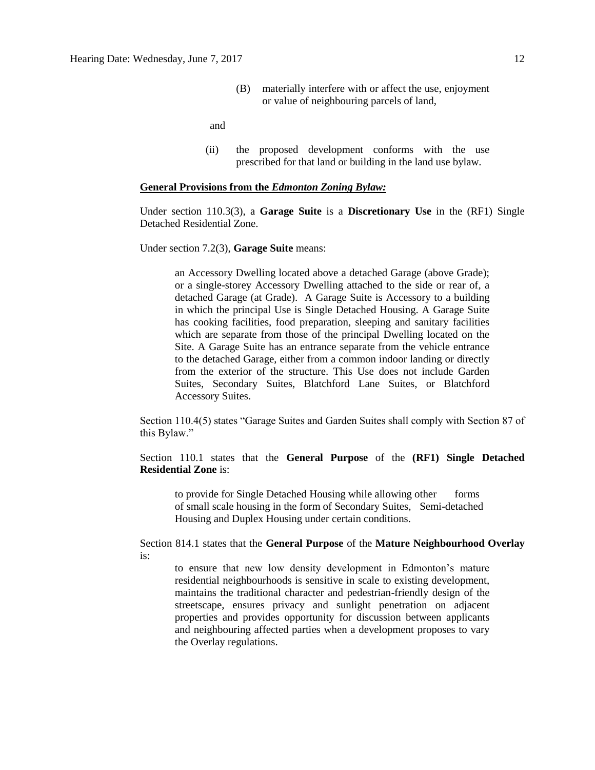(B) materially interfere with or affect the use, enjoyment or value of neighbouring parcels of land,

and

(ii) the proposed development conforms with the use prescribed for that land or building in the land use bylaw.

### **General Provisions from the** *Edmonton Zoning Bylaw:*

Under section 110.3(3), a **Garage Suite** is a **Discretionary Use** in the (RF1) Single Detached Residential Zone.

Under section 7.2(3), **Garage Suite** means:

an Accessory Dwelling located above a detached Garage (above Grade); or a single-storey Accessory Dwelling attached to the side or rear of, a detached Garage (at Grade). A Garage Suite is Accessory to a building in which the principal Use is Single Detached Housing. A Garage Suite has cooking facilities, food preparation, sleeping and sanitary facilities which are separate from those of the principal Dwelling located on the Site. A Garage Suite has an entrance separate from the vehicle entrance to the detached Garage, either from a common indoor landing or directly from the exterior of the structure. This Use does not include Garden Suites, Secondary Suites, Blatchford Lane Suites, or Blatchford Accessory Suites.

Section 110.4(5) states "Garage Suites and Garden Suites shall comply with Section 87 of this Bylaw."

Section 110.1 states that the **General Purpose** of the **(RF1) Single Detached Residential Zone** is:

to provide for Single Detached Housing while allowing other forms of small scale housing in the form of Secondary Suites, Semi-detached Housing and Duplex Housing under certain conditions.

Section 814.1 states that the **General Purpose** of the **Mature Neighbourhood Overlay**  is:

to ensure that new low density development in Edmonton's mature residential neighbourhoods is sensitive in scale to existing development, maintains the traditional character and pedestrian-friendly design of the streetscape, ensures privacy and sunlight penetration on adjacent properties and provides opportunity for discussion between applicants and neighbouring affected parties when a development proposes to vary the Overlay regulations.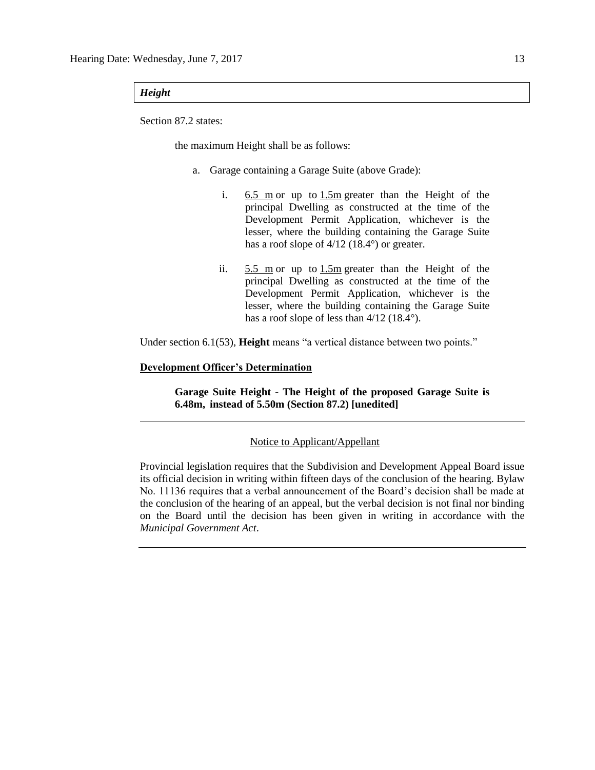# *Height*

Section 87.2 states:

the maximum Height shall be as follows:

- a. Garage containing a Garage Suite (above Grade):
	- i.  $6.5 \text{ m}$  or up to  $1.5 \text{ m}$  greater than the Height of the principal Dwelling as constructed at the time of the Development Permit Application, whichever is the lesser, where the building containing the Garage Suite has a roof slope of  $4/12$  (18.4°) or greater.
	- ii. [5.5 m](javascript:BSSCPopup() or up to [1.5m](javascript:BSSCPopup() greater than the Height of the principal Dwelling as constructed at the time of the Development Permit Application, whichever is the lesser, where the building containing the Garage Suite has a roof slope of less than  $4/12$  (18.4°).

Under section 6.1(53), **Height** means "a vertical distance between two points."

## **Development Officer's Determination**

**Garage Suite Height - The Height of the proposed Garage Suite is 6.48m, instead of 5.50m (Section 87.2) [unedited]**

## Notice to Applicant/Appellant

Provincial legislation requires that the Subdivision and Development Appeal Board issue its official decision in writing within fifteen days of the conclusion of the hearing. Bylaw No. 11136 requires that a verbal announcement of the Board's decision shall be made at the conclusion of the hearing of an appeal, but the verbal decision is not final nor binding on the Board until the decision has been given in writing in accordance with the *Municipal Government Act*.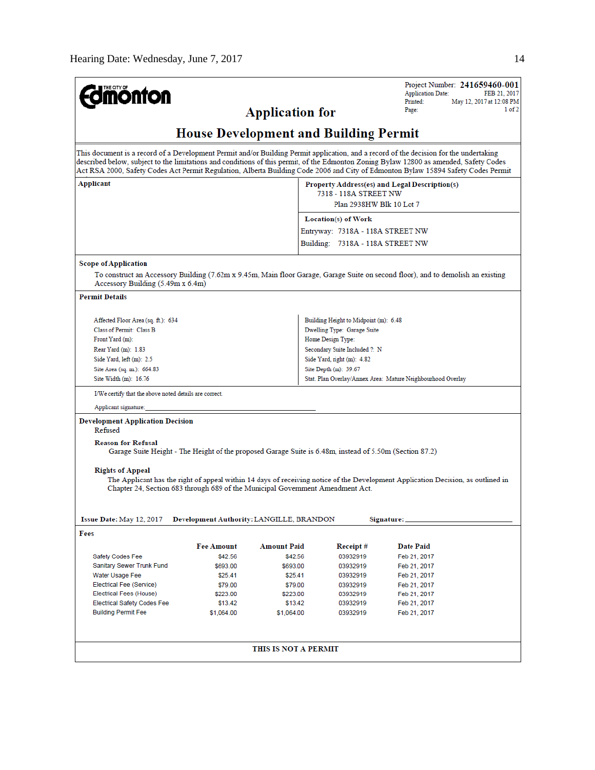| <b>monton</b>                                                                                                                                                                                                                                                                                                                                                                                                         |                                                                                                         | <b>Application for</b> |                                                                                                                            | Project Number: 241659460-001<br><b>Application Date:</b><br>FEB 21, 2017<br>Printed:<br>May 12, 2017 at 12:08 PM<br>1 of 2<br>Page: |  |  |  |
|-----------------------------------------------------------------------------------------------------------------------------------------------------------------------------------------------------------------------------------------------------------------------------------------------------------------------------------------------------------------------------------------------------------------------|---------------------------------------------------------------------------------------------------------|------------------------|----------------------------------------------------------------------------------------------------------------------------|--------------------------------------------------------------------------------------------------------------------------------------|--|--|--|
| <b>House Development and Building Permit</b>                                                                                                                                                                                                                                                                                                                                                                          |                                                                                                         |                        |                                                                                                                            |                                                                                                                                      |  |  |  |
| This document is a record of a Development Permit and/or Building Permit application, and a record of the decision for the undertaking<br>described below, subject to the limitations and conditions of this permit, of the Edmonton Zoning Bylaw 12800 as amended, Safety Codes<br>Act RSA 2000, Safety Codes Act Permit Regulation, Alberta Building Code 2006 and City of Edmonton Bylaw 15894 Safety Codes Permit |                                                                                                         |                        |                                                                                                                            |                                                                                                                                      |  |  |  |
| Applicant                                                                                                                                                                                                                                                                                                                                                                                                             |                                                                                                         |                        | Property Address(es) and Legal Description(s)<br>7318 - 118A STREET NW<br>Plan 2938HW Blk 10 Lot 7                         |                                                                                                                                      |  |  |  |
|                                                                                                                                                                                                                                                                                                                                                                                                                       |                                                                                                         |                        | <b>Location(s)</b> of Work                                                                                                 |                                                                                                                                      |  |  |  |
|                                                                                                                                                                                                                                                                                                                                                                                                                       |                                                                                                         |                        | Entryway: 7318A - 118A STREET NW                                                                                           |                                                                                                                                      |  |  |  |
|                                                                                                                                                                                                                                                                                                                                                                                                                       |                                                                                                         |                        | Building: 7318A - 118A STREET NW                                                                                           |                                                                                                                                      |  |  |  |
| <b>Scope of Application</b><br>Accessory Building (5.49m x 6.4m)                                                                                                                                                                                                                                                                                                                                                      |                                                                                                         |                        |                                                                                                                            | To construct an Accessory Building (7.62m x 9.45m, Main floor Garage, Garage Suite on second floor), and to demolish an existing     |  |  |  |
| <b>Permit Details</b>                                                                                                                                                                                                                                                                                                                                                                                                 |                                                                                                         |                        |                                                                                                                            |                                                                                                                                      |  |  |  |
| Affected Floor Area (sq. ft.): 634<br>Class of Permit: Class B<br>Front Yard (m):<br>Rear Yard (m): 1.83                                                                                                                                                                                                                                                                                                              |                                                                                                         |                        | Building Height to Midpoint (m): 6.48<br>Dwelling Type: Garage Suite<br>Home Design Type:<br>Secondary Suite Included ?: N |                                                                                                                                      |  |  |  |
| Side Yard, left (m): 2.5<br>Site Area (sq. m.): 664.83                                                                                                                                                                                                                                                                                                                                                                |                                                                                                         |                        | Side Yard, right (m): 4.82<br>Site Depth (m): 39.67                                                                        |                                                                                                                                      |  |  |  |
| Site Width (m): 16.76                                                                                                                                                                                                                                                                                                                                                                                                 |                                                                                                         |                        | Stat. Plan Overlay/Annex Area: Mature Neighbourhood Overlay                                                                |                                                                                                                                      |  |  |  |
| I/We certify that the above noted details are correct.                                                                                                                                                                                                                                                                                                                                                                |                                                                                                         |                        |                                                                                                                            |                                                                                                                                      |  |  |  |
| Applicant signature:                                                                                                                                                                                                                                                                                                                                                                                                  |                                                                                                         |                        |                                                                                                                            |                                                                                                                                      |  |  |  |
| <b>Development Application Decision</b><br>Refused<br><b>Reason for Refusal</b>                                                                                                                                                                                                                                                                                                                                       | Garage Suite Height - The Height of the proposed Garage Suite is 6.48m, instead of 5.50m (Section 87.2) |                        |                                                                                                                            |                                                                                                                                      |  |  |  |
| <b>Rights of Appeal</b><br>The Applicant has the right of appeal within 14 days of receiving notice of the Development Application Decision, as outlined in<br>Chapter 24, Section 683 through 689 of the Municipal Government Amendment Act.<br>Issue Date: May 12, 2017<br>Development Authority: LANGILLE, BRANDON<br>Signature:                                                                                   |                                                                                                         |                        |                                                                                                                            |                                                                                                                                      |  |  |  |
| Fees                                                                                                                                                                                                                                                                                                                                                                                                                  |                                                                                                         |                        |                                                                                                                            |                                                                                                                                      |  |  |  |
|                                                                                                                                                                                                                                                                                                                                                                                                                       | <b>Fee Amount</b>                                                                                       | <b>Amount Paid</b>     | Receipt#                                                                                                                   | <b>Date Paid</b>                                                                                                                     |  |  |  |
| Safety Codes Fee                                                                                                                                                                                                                                                                                                                                                                                                      | \$42.56                                                                                                 | \$42.56                | 03932919                                                                                                                   | Feb 21, 2017                                                                                                                         |  |  |  |
| Sanitary Sewer Trunk Fund                                                                                                                                                                                                                                                                                                                                                                                             | \$693.00                                                                                                | \$693.00               | 03932919                                                                                                                   | Feb 21, 2017                                                                                                                         |  |  |  |
| Water Usage Fee                                                                                                                                                                                                                                                                                                                                                                                                       | \$25.41                                                                                                 | \$25.41                | 03932919                                                                                                                   | Feb 21, 2017                                                                                                                         |  |  |  |
| Electrical Fee (Service)                                                                                                                                                                                                                                                                                                                                                                                              | \$79.00                                                                                                 | \$79.00                | 03932919                                                                                                                   | Feb 21, 2017                                                                                                                         |  |  |  |
| Electrical Fees (House)                                                                                                                                                                                                                                                                                                                                                                                               | \$223.00                                                                                                | \$223.00               | 03932919                                                                                                                   | Feb 21, 2017                                                                                                                         |  |  |  |
| <b>Electrical Safety Codes Fee</b><br><b>Building Permit Fee</b>                                                                                                                                                                                                                                                                                                                                                      | \$13.42<br>\$1,064.00                                                                                   | \$13.42<br>\$1,064.00  | 03932919<br>03932919                                                                                                       | Feb 21, 2017<br>Feb 21, 2017                                                                                                         |  |  |  |
|                                                                                                                                                                                                                                                                                                                                                                                                                       | THIS IS NOT A PERMIT                                                                                    |                        |                                                                                                                            |                                                                                                                                      |  |  |  |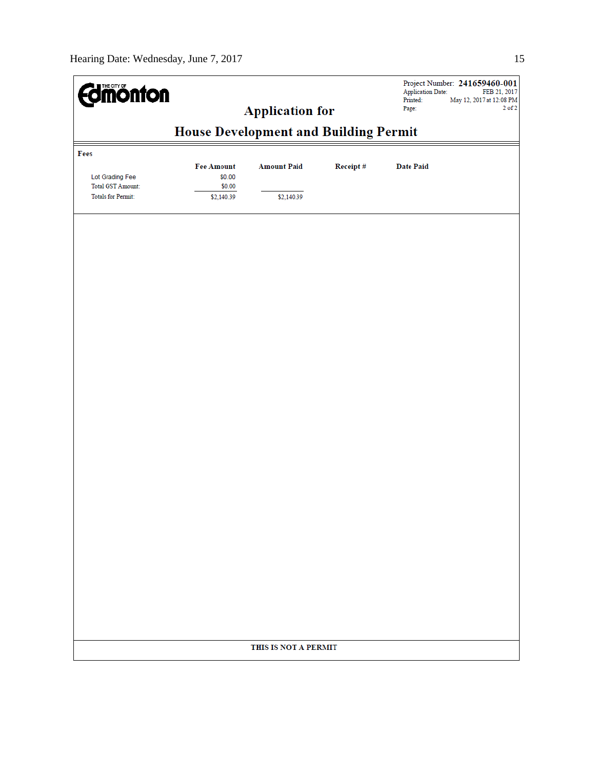|                                                                          | <b>Edinonton</b><br><b>Application for</b>          |                                  |          | Project Number: 241659460-001<br><b>Application Date:</b><br>FEB 21, 2017<br>May 12, 2017 at 12:08 PM<br>Printed:<br>$2$ of $2$<br>Page: |  |
|--------------------------------------------------------------------------|-----------------------------------------------------|----------------------------------|----------|------------------------------------------------------------------------------------------------------------------------------------------|--|
|                                                                          | <b>House Development and Building Permit</b>        |                                  |          |                                                                                                                                          |  |
| Fees                                                                     |                                                     |                                  |          |                                                                                                                                          |  |
| Lot Grading Fee<br><b>Total GST Amount:</b><br><b>Totals for Permit:</b> | <b>Fee Amount</b><br>\$0.00<br>\$0.00<br>\$2,140.39 | <b>Amount Paid</b><br>\$2,140.39 | Receipt# | <b>Date Paid</b>                                                                                                                         |  |
|                                                                          |                                                     |                                  |          |                                                                                                                                          |  |
|                                                                          |                                                     |                                  |          |                                                                                                                                          |  |
|                                                                          |                                                     |                                  |          |                                                                                                                                          |  |
|                                                                          |                                                     |                                  |          |                                                                                                                                          |  |
|                                                                          |                                                     |                                  |          |                                                                                                                                          |  |
|                                                                          |                                                     |                                  |          |                                                                                                                                          |  |
|                                                                          |                                                     |                                  |          |                                                                                                                                          |  |
|                                                                          |                                                     |                                  |          |                                                                                                                                          |  |
|                                                                          |                                                     |                                  |          |                                                                                                                                          |  |
|                                                                          |                                                     |                                  |          |                                                                                                                                          |  |
|                                                                          |                                                     |                                  |          |                                                                                                                                          |  |
|                                                                          |                                                     | THIS IS NOT A PERMIT             |          |                                                                                                                                          |  |